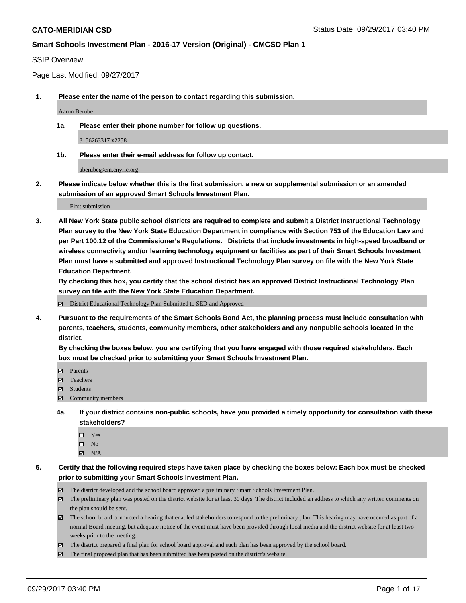#### SSIP Overview

Page Last Modified: 09/27/2017

**1. Please enter the name of the person to contact regarding this submission.**

Aaron Berube

**1a. Please enter their phone number for follow up questions.**

3156263317 x2258

**1b. Please enter their e-mail address for follow up contact.**

aberube@cm.cnyric.org

**2. Please indicate below whether this is the first submission, a new or supplemental submission or an amended submission of an approved Smart Schools Investment Plan.**

First submission

**3. All New York State public school districts are required to complete and submit a District Instructional Technology Plan survey to the New York State Education Department in compliance with Section 753 of the Education Law and per Part 100.12 of the Commissioner's Regulations. Districts that include investments in high-speed broadband or wireless connectivity and/or learning technology equipment or facilities as part of their Smart Schools Investment Plan must have a submitted and approved Instructional Technology Plan survey on file with the New York State Education Department.** 

**By checking this box, you certify that the school district has an approved District Instructional Technology Plan survey on file with the New York State Education Department.**

District Educational Technology Plan Submitted to SED and Approved

**4. Pursuant to the requirements of the Smart Schools Bond Act, the planning process must include consultation with parents, teachers, students, community members, other stakeholders and any nonpublic schools located in the district.** 

**By checking the boxes below, you are certifying that you have engaged with those required stakeholders. Each box must be checked prior to submitting your Smart Schools Investment Plan.**

- **マ** Parents
- Teachers
- **☑** Students
- $\Xi$  Community members
- **4a. If your district contains non-public schools, have you provided a timely opportunity for consultation with these stakeholders?**
	- □ Yes
	- $\square$  No
	- $\boxtimes$  N/A
- **5. Certify that the following required steps have taken place by checking the boxes below: Each box must be checked prior to submitting your Smart Schools Investment Plan.**
	- The district developed and the school board approved a preliminary Smart Schools Investment Plan.
	- The preliminary plan was posted on the district website for at least 30 days. The district included an address to which any written comments on the plan should be sent.
	- The school board conducted a hearing that enabled stakeholders to respond to the preliminary plan. This hearing may have occured as part of a normal Board meeting, but adequate notice of the event must have been provided through local media and the district website for at least two weeks prior to the meeting.
	- The district prepared a final plan for school board approval and such plan has been approved by the school board.
	- $\boxtimes$  The final proposed plan that has been submitted has been posted on the district's website.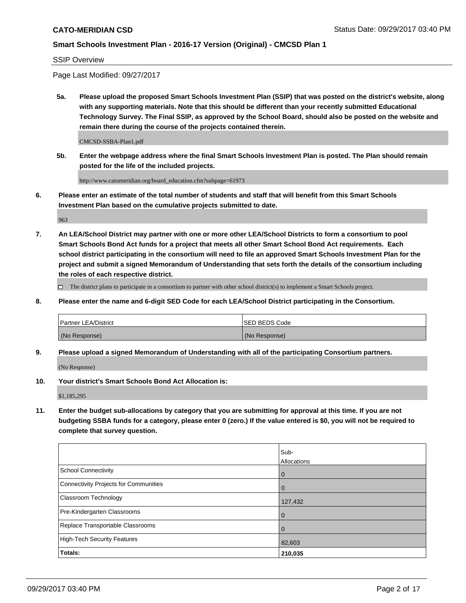SSIP Overview

Page Last Modified: 09/27/2017

**5a. Please upload the proposed Smart Schools Investment Plan (SSIP) that was posted on the district's website, along with any supporting materials. Note that this should be different than your recently submitted Educational Technology Survey. The Final SSIP, as approved by the School Board, should also be posted on the website and remain there during the course of the projects contained therein.**

CMCSD-SSBA-Plan1.pdf

**5b. Enter the webpage address where the final Smart Schools Investment Plan is posted. The Plan should remain posted for the life of the included projects.**

http://www.catomeridian.org/board\_education.cfm?subpage=61973

**6. Please enter an estimate of the total number of students and staff that will benefit from this Smart Schools Investment Plan based on the cumulative projects submitted to date.**

963

**7. An LEA/School District may partner with one or more other LEA/School Districts to form a consortium to pool Smart Schools Bond Act funds for a project that meets all other Smart School Bond Act requirements. Each school district participating in the consortium will need to file an approved Smart Schools Investment Plan for the project and submit a signed Memorandum of Understanding that sets forth the details of the consortium including the roles of each respective district.**

 $\Box$  The district plans to participate in a consortium to partner with other school district(s) to implement a Smart Schools project.

**8. Please enter the name and 6-digit SED Code for each LEA/School District participating in the Consortium.**

| <b>Partner LEA/District</b> | <b>ISED BEDS Code</b> |
|-----------------------------|-----------------------|
| (No Response)               | (No Response)         |

**9. Please upload a signed Memorandum of Understanding with all of the participating Consortium partners.**

(No Response)

**10. Your district's Smart Schools Bond Act Allocation is:**

\$1,185,295

**11. Enter the budget sub-allocations by category that you are submitting for approval at this time. If you are not budgeting SSBA funds for a category, please enter 0 (zero.) If the value entered is \$0, you will not be required to complete that survey question.**

|                                              | Sub-        |
|----------------------------------------------|-------------|
|                                              | Allocations |
| <b>School Connectivity</b>                   | 0           |
| <b>Connectivity Projects for Communities</b> | 0           |
| <b>Classroom Technology</b>                  | 127,432     |
| Pre-Kindergarten Classrooms                  | 0           |
| Replace Transportable Classrooms             | 0           |
| <b>High-Tech Security Features</b>           | 82,603      |
| Totals:                                      | 210,035     |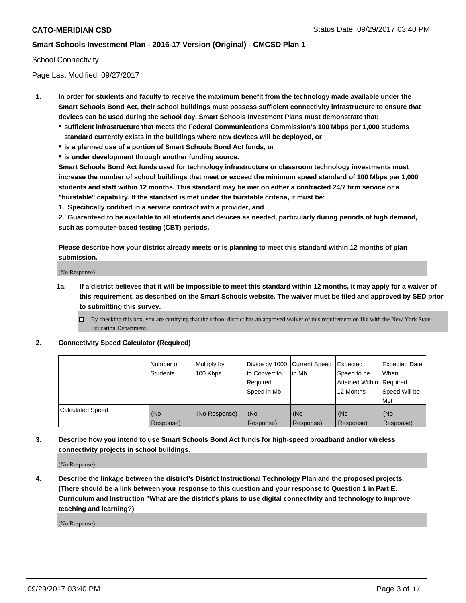### School Connectivity

Page Last Modified: 09/27/2017

- **1. In order for students and faculty to receive the maximum benefit from the technology made available under the Smart Schools Bond Act, their school buildings must possess sufficient connectivity infrastructure to ensure that devices can be used during the school day. Smart Schools Investment Plans must demonstrate that:**
	- **sufficient infrastructure that meets the Federal Communications Commission's 100 Mbps per 1,000 students standard currently exists in the buildings where new devices will be deployed, or**
	- **is a planned use of a portion of Smart Schools Bond Act funds, or**
	- **is under development through another funding source.**

**Smart Schools Bond Act funds used for technology infrastructure or classroom technology investments must increase the number of school buildings that meet or exceed the minimum speed standard of 100 Mbps per 1,000 students and staff within 12 months. This standard may be met on either a contracted 24/7 firm service or a "burstable" capability. If the standard is met under the burstable criteria, it must be:**

**1. Specifically codified in a service contract with a provider, and**

**2. Guaranteed to be available to all students and devices as needed, particularly during periods of high demand, such as computer-based testing (CBT) periods.**

**Please describe how your district already meets or is planning to meet this standard within 12 months of plan submission.**

(No Response)

**1a. If a district believes that it will be impossible to meet this standard within 12 months, it may apply for a waiver of this requirement, as described on the Smart Schools website. The waiver must be filed and approved by SED prior to submitting this survey.**

**2. Connectivity Speed Calculator (Required)**

|                         | Number of<br><b>Students</b> | Multiply by<br>100 Kbps | Divide by 1000   Current Speed<br>to Convert to<br>Required<br>Speed in Mb | lin Mb           | Expected<br>Speed to be<br>Attained Within   Required<br>12 Months | <b>Expected Date</b><br>When<br>Speed Will be<br>Met |
|-------------------------|------------------------------|-------------------------|----------------------------------------------------------------------------|------------------|--------------------------------------------------------------------|------------------------------------------------------|
| <b>Calculated Speed</b> | (No<br>Response)             | (No Response)           | (No<br>Response)                                                           | (No<br>Response) | (No<br>Response)                                                   | (No<br>Response)                                     |

**3. Describe how you intend to use Smart Schools Bond Act funds for high-speed broadband and/or wireless connectivity projects in school buildings.**

(No Response)

**4. Describe the linkage between the district's District Instructional Technology Plan and the proposed projects. (There should be a link between your response to this question and your response to Question 1 in Part E. Curriculum and Instruction "What are the district's plans to use digital connectivity and technology to improve teaching and learning?)**

(No Response)

 $\Box$  By checking this box, you are certifying that the school district has an approved waiver of this requirement on file with the New York State Education Department.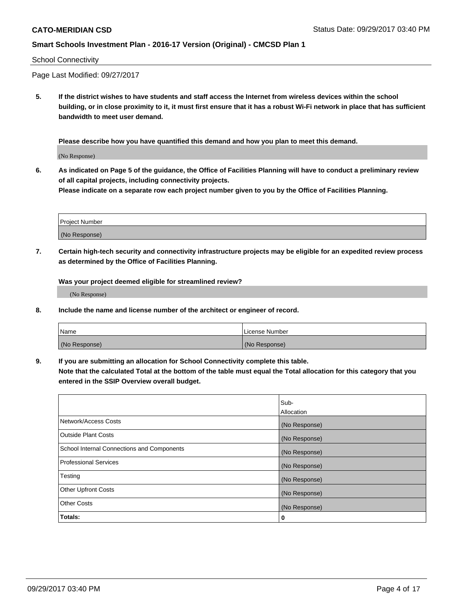#### School Connectivity

Page Last Modified: 09/27/2017

**5. If the district wishes to have students and staff access the Internet from wireless devices within the school building, or in close proximity to it, it must first ensure that it has a robust Wi-Fi network in place that has sufficient bandwidth to meet user demand.**

**Please describe how you have quantified this demand and how you plan to meet this demand.**

(No Response)

**6. As indicated on Page 5 of the guidance, the Office of Facilities Planning will have to conduct a preliminary review of all capital projects, including connectivity projects.**

**Please indicate on a separate row each project number given to you by the Office of Facilities Planning.**

| Project Number |  |
|----------------|--|
|                |  |
| (No Response)  |  |

**7. Certain high-tech security and connectivity infrastructure projects may be eligible for an expedited review process as determined by the Office of Facilities Planning.**

**Was your project deemed eligible for streamlined review?**

(No Response)

**8. Include the name and license number of the architect or engineer of record.**

| Name          | License Number |
|---------------|----------------|
| (No Response) | (No Response)  |

**9. If you are submitting an allocation for School Connectivity complete this table.**

**Note that the calculated Total at the bottom of the table must equal the Total allocation for this category that you entered in the SSIP Overview overall budget.** 

|                                            | Sub-              |
|--------------------------------------------|-------------------|
|                                            | <b>Allocation</b> |
| Network/Access Costs                       | (No Response)     |
| <b>Outside Plant Costs</b>                 | (No Response)     |
| School Internal Connections and Components | (No Response)     |
| <b>Professional Services</b>               | (No Response)     |
| Testing                                    | (No Response)     |
| <b>Other Upfront Costs</b>                 | (No Response)     |
| <b>Other Costs</b>                         | (No Response)     |
| Totals:                                    | 0                 |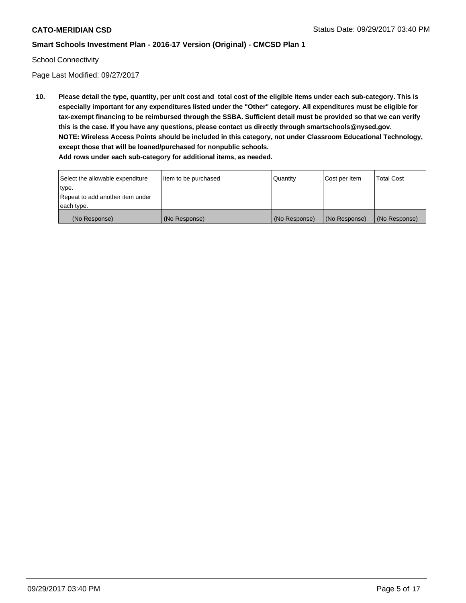#### School Connectivity

Page Last Modified: 09/27/2017

**10. Please detail the type, quantity, per unit cost and total cost of the eligible items under each sub-category. This is especially important for any expenditures listed under the "Other" category. All expenditures must be eligible for tax-exempt financing to be reimbursed through the SSBA. Sufficient detail must be provided so that we can verify this is the case. If you have any questions, please contact us directly through smartschools@nysed.gov. NOTE: Wireless Access Points should be included in this category, not under Classroom Educational Technology, except those that will be loaned/purchased for nonpublic schools.**

| Select the allowable expenditure | Item to be purchased | Quantity      | Cost per Item | Total Cost    |
|----------------------------------|----------------------|---------------|---------------|---------------|
| type.                            |                      |               |               |               |
| Repeat to add another item under |                      |               |               |               |
| each type.                       |                      |               |               |               |
| (No Response)                    | (No Response)        | (No Response) | (No Response) | (No Response) |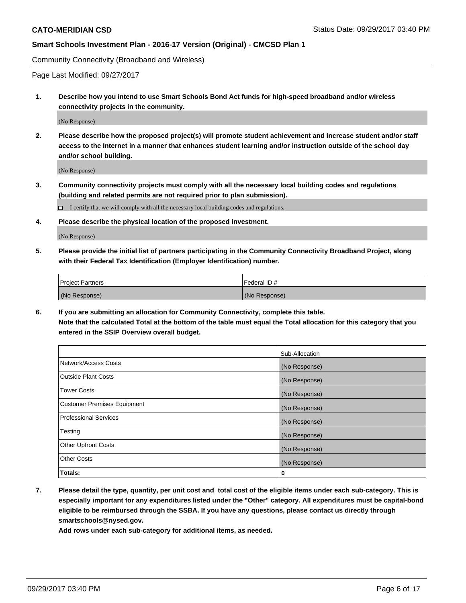Community Connectivity (Broadband and Wireless)

Page Last Modified: 09/27/2017

**1. Describe how you intend to use Smart Schools Bond Act funds for high-speed broadband and/or wireless connectivity projects in the community.**

(No Response)

**2. Please describe how the proposed project(s) will promote student achievement and increase student and/or staff access to the Internet in a manner that enhances student learning and/or instruction outside of the school day and/or school building.**

(No Response)

**3. Community connectivity projects must comply with all the necessary local building codes and regulations (building and related permits are not required prior to plan submission).**

 $\Box$  I certify that we will comply with all the necessary local building codes and regulations.

**4. Please describe the physical location of the proposed investment.**

(No Response)

**5. Please provide the initial list of partners participating in the Community Connectivity Broadband Project, along with their Federal Tax Identification (Employer Identification) number.**

| <b>Project Partners</b> | l Federal ID # |
|-------------------------|----------------|
| (No Response)           | (No Response)  |

**6. If you are submitting an allocation for Community Connectivity, complete this table. Note that the calculated Total at the bottom of the table must equal the Total allocation for this category that you entered in the SSIP Overview overall budget.**

|                                    | Sub-Allocation |
|------------------------------------|----------------|
| Network/Access Costs               | (No Response)  |
| <b>Outside Plant Costs</b>         | (No Response)  |
| <b>Tower Costs</b>                 | (No Response)  |
| <b>Customer Premises Equipment</b> | (No Response)  |
| <b>Professional Services</b>       | (No Response)  |
| Testing                            | (No Response)  |
| <b>Other Upfront Costs</b>         | (No Response)  |
| <b>Other Costs</b>                 | (No Response)  |
| Totals:                            | 0              |

**7. Please detail the type, quantity, per unit cost and total cost of the eligible items under each sub-category. This is especially important for any expenditures listed under the "Other" category. All expenditures must be capital-bond eligible to be reimbursed through the SSBA. If you have any questions, please contact us directly through smartschools@nysed.gov.**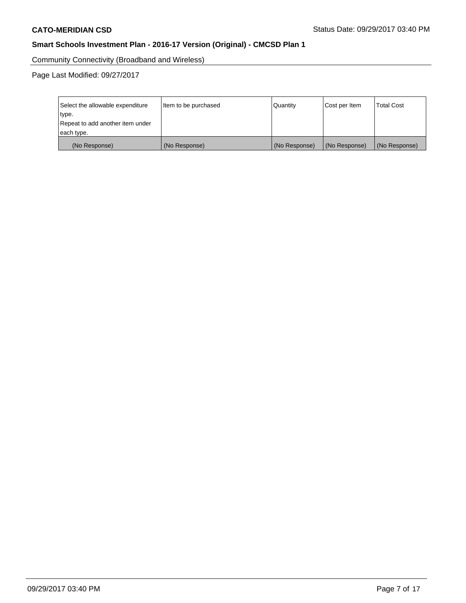Community Connectivity (Broadband and Wireless)

| Select the allowable expenditure<br>type.<br>Repeat to add another item under<br>each type. | Item to be purchased | Quantity      | Cost per Item | <b>Total Cost</b> |
|---------------------------------------------------------------------------------------------|----------------------|---------------|---------------|-------------------|
| (No Response)                                                                               | (No Response)        | (No Response) | (No Response) | (No Response)     |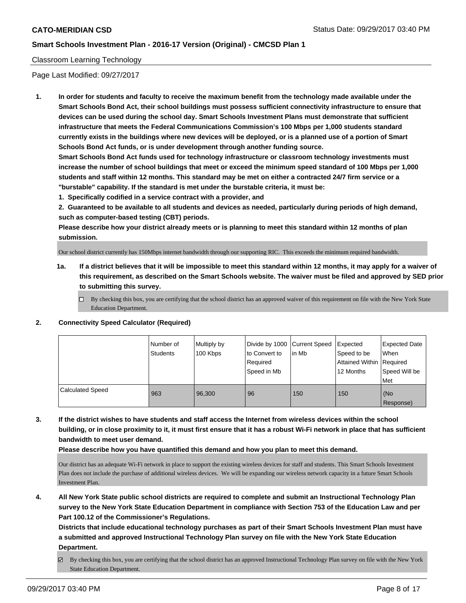### Classroom Learning Technology

Page Last Modified: 09/27/2017

**1. In order for students and faculty to receive the maximum benefit from the technology made available under the Smart Schools Bond Act, their school buildings must possess sufficient connectivity infrastructure to ensure that devices can be used during the school day. Smart Schools Investment Plans must demonstrate that sufficient infrastructure that meets the Federal Communications Commission's 100 Mbps per 1,000 students standard currently exists in the buildings where new devices will be deployed, or is a planned use of a portion of Smart Schools Bond Act funds, or is under development through another funding source.**

**Smart Schools Bond Act funds used for technology infrastructure or classroom technology investments must increase the number of school buildings that meet or exceed the minimum speed standard of 100 Mbps per 1,000 students and staff within 12 months. This standard may be met on either a contracted 24/7 firm service or a "burstable" capability. If the standard is met under the burstable criteria, it must be:**

**1. Specifically codified in a service contract with a provider, and**

**2. Guaranteed to be available to all students and devices as needed, particularly during periods of high demand, such as computer-based testing (CBT) periods.**

**Please describe how your district already meets or is planning to meet this standard within 12 months of plan submission.**

Our school district currently has 150Mbps internet bandwidth through our supporting RIC. This exceeds the minimum required bandwidth.

- **1a. If a district believes that it will be impossible to meet this standard within 12 months, it may apply for a waiver of this requirement, as described on the Smart Schools website. The waiver must be filed and approved by SED prior to submitting this survey.**
	- $\Box$  By checking this box, you are certifying that the school district has an approved waiver of this requirement on file with the New York State Education Department.
- **2. Connectivity Speed Calculator (Required)**

|                         | I Number of<br><b>Students</b> | Multiply by<br>100 Kbps | Divide by 1000 Current Speed<br>to Convert to<br>Required<br>Speed in Mb | lin Mb | Expected<br>Speed to be<br>Attained Within Required<br>12 Months | Expected Date<br>When<br>Speed Will be<br><b>Met</b> |
|-------------------------|--------------------------------|-------------------------|--------------------------------------------------------------------------|--------|------------------------------------------------------------------|------------------------------------------------------|
| <b>Calculated Speed</b> | 963                            | 96.300                  | 96                                                                       | 150    | 150                                                              | (No<br>Response)                                     |

**3. If the district wishes to have students and staff access the Internet from wireless devices within the school building, or in close proximity to it, it must first ensure that it has a robust Wi-Fi network in place that has sufficient bandwidth to meet user demand.**

**Please describe how you have quantified this demand and how you plan to meet this demand.**

Our district has an adequate Wi-Fi network in place to support the existing wireless devices for staff and students. This Smart Schools Investment Plan does not include the purchase of additional wireless devices. We will be expanding our wireless network capacity in a future Smart Schools Investment Plan.

**4. All New York State public school districts are required to complete and submit an Instructional Technology Plan survey to the New York State Education Department in compliance with Section 753 of the Education Law and per Part 100.12 of the Commissioner's Regulations.**

**Districts that include educational technology purchases as part of their Smart Schools Investment Plan must have a submitted and approved Instructional Technology Plan survey on file with the New York State Education Department.**

By checking this box, you are certifying that the school district has an approved Instructional Technology Plan survey on file with the New York State Education Department.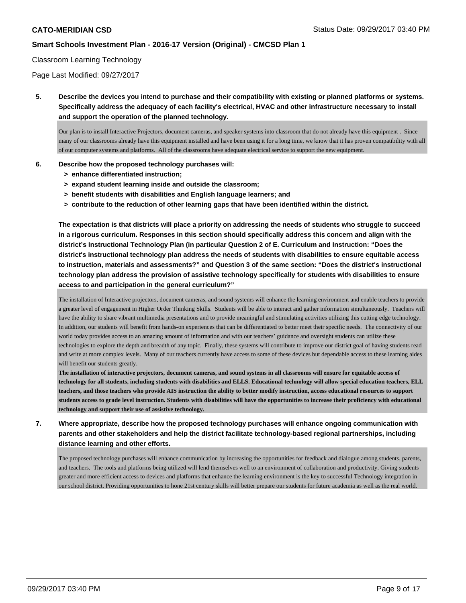### Classroom Learning Technology

Page Last Modified: 09/27/2017

**5. Describe the devices you intend to purchase and their compatibility with existing or planned platforms or systems. Specifically address the adequacy of each facility's electrical, HVAC and other infrastructure necessary to install and support the operation of the planned technology.**

Our plan is to install Interactive Projectors, document cameras, and speaker systems into classroom that do not already have this equipment . Since many of our classrooms already have this equipment installed and have been using it for a long time, we know that it has proven compatibility with all of our computer systems and platforms. All of the classrooms have adequate electrical service to support the new equipment.

- **6. Describe how the proposed technology purchases will:**
	- **> enhance differentiated instruction;**
	- **> expand student learning inside and outside the classroom;**
	- **> benefit students with disabilities and English language learners; and**
	- **> contribute to the reduction of other learning gaps that have been identified within the district.**

**The expectation is that districts will place a priority on addressing the needs of students who struggle to succeed in a rigorous curriculum. Responses in this section should specifically address this concern and align with the district's Instructional Technology Plan (in particular Question 2 of E. Curriculum and Instruction: "Does the district's instructional technology plan address the needs of students with disabilities to ensure equitable access to instruction, materials and assessments?" and Question 3 of the same section: "Does the district's instructional technology plan address the provision of assistive technology specifically for students with disabilities to ensure access to and participation in the general curriculum?"**

The installation of Interactive projectors, document cameras, and sound systems will enhance the learning environment and enable teachers to provide a greater level of engagement in Higher Order Thinking Skills. Students will be able to interact and gather information simultaneously. Teachers will have the ability to share vibrant multimedia presentations and to provide meaningful and stimulating activities utilizing this cutting edge technology. In addition, our students will benefit from hands-on experiences that can be differentiated to better meet their specific needs. The connectivity of our world today provides access to an amazing amount of information and with our teachers' guidance and oversight students can utilize these technologies to explore the depth and breadth of any topic. Finally, these systems will contribute to improve our district goal of having students read and write at more complex levels. Many of our teachers currently have access to some of these devices but dependable access to these learning aides will benefit our students greatly.

**The installation of interactive projectors, document cameras, and sound systems in all classrooms will ensure for equitable access of technology for all students, including students with disabilities and ELLS. Educational technology will allow special education teachers, ELL teachers, and those teachers who provide AIS instruction the ability to better modify instruction, access educational resources to support students access to grade level instruction. Students with disabilities will have the opportunities to increase their proficiency with educational technology and support their use of assistive technology.**

# **7. Where appropriate, describe how the proposed technology purchases will enhance ongoing communication with parents and other stakeholders and help the district facilitate technology-based regional partnerships, including distance learning and other efforts.**

The proposed technology purchases will enhance communication by increasing the opportunities for feedback and dialogue among students, parents, and teachers. The tools and platforms being utilized will lend themselves well to an environment of collaboration and productivity. Giving students greater and more efficient access to devices and platforms that enhance the learning environment is the key to successful Technology integration in our school district. Providing opportunities to hone 21st century skills will better prepare our students for future academia as well as the real world.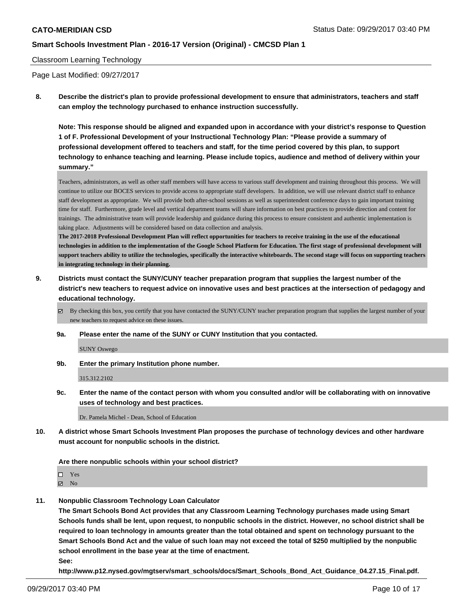### Classroom Learning Technology

Page Last Modified: 09/27/2017

**8. Describe the district's plan to provide professional development to ensure that administrators, teachers and staff can employ the technology purchased to enhance instruction successfully.**

**Note: This response should be aligned and expanded upon in accordance with your district's response to Question 1 of F. Professional Development of your Instructional Technology Plan: "Please provide a summary of professional development offered to teachers and staff, for the time period covered by this plan, to support technology to enhance teaching and learning. Please include topics, audience and method of delivery within your summary."**

Teachers, administrators, as well as other staff members will have access to various staff development and training throughout this process. We will continue to utilize our BOCES services to provide access to appropriate staff developers. In addition, we will use relevant district staff to enhance staff development as appropriate. We will provide both after-school sessions as well as superintendent conference days to gain important training time for staff. Furthermore, grade level and vertical department teams will share information on best practices to provide direction and content for trainings. The administrative team will provide leadership and guidance during this process to ensure consistent and authentic implementation is taking place. Adjustments will be considered based on data collection and analysis.

**The 2017-2018 Professional Development Plan will reflect opportunities for teachers to receive training in the use of the educational technologies in addition to the implementation of the Google School Platform for Education. The first stage of professional development will support teachers ability to utilize the technologies, specifically the interactive whiteboards. The second stage will focus on supporting teachers in integrating technology in their planning.** 

**9. Districts must contact the SUNY/CUNY teacher preparation program that supplies the largest number of the district's new teachers to request advice on innovative uses and best practices at the intersection of pedagogy and educational technology.**

 $\boxtimes$  By checking this box, you certify that you have contacted the SUNY/CUNY teacher preparation program that supplies the largest number of your new teachers to request advice on these issues.

**9a. Please enter the name of the SUNY or CUNY Institution that you contacted.**

SUNY Oswego

**9b. Enter the primary Institution phone number.**

315.312.2102

**9c. Enter the name of the contact person with whom you consulted and/or will be collaborating with on innovative uses of technology and best practices.**

Dr. Pamela Michel - Dean, School of Education

**10. A district whose Smart Schools Investment Plan proposes the purchase of technology devices and other hardware must account for nonpublic schools in the district.**

**Are there nonpublic schools within your school district?**

Yes

 $\boxtimes$  No

**11. Nonpublic Classroom Technology Loan Calculator**

**The Smart Schools Bond Act provides that any Classroom Learning Technology purchases made using Smart Schools funds shall be lent, upon request, to nonpublic schools in the district. However, no school district shall be required to loan technology in amounts greater than the total obtained and spent on technology pursuant to the Smart Schools Bond Act and the value of such loan may not exceed the total of \$250 multiplied by the nonpublic school enrollment in the base year at the time of enactment. See:**

**http://www.p12.nysed.gov/mgtserv/smart\_schools/docs/Smart\_Schools\_Bond\_Act\_Guidance\_04.27.15\_Final.pdf.**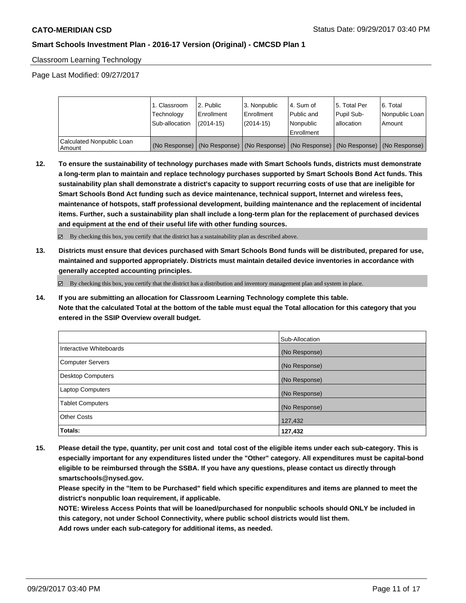Classroom Learning Technology

Page Last Modified: 09/27/2017

|                                       | 1. Classroom<br>Technology<br>Sub-allocation | 2. Public<br>l Enrollment<br>$(2014 - 15)$                                                    | l 3. Nonpublic<br>l Enrollment<br>$(2014 - 15)$ | l 4. Sum of<br>Public and<br>Nonpublic<br>Enrollment | l 5. Total Per<br>Pupil Sub-<br>allocation | l 6. Total<br>Nonpublic Loan<br>l Amount |
|---------------------------------------|----------------------------------------------|-----------------------------------------------------------------------------------------------|-------------------------------------------------|------------------------------------------------------|--------------------------------------------|------------------------------------------|
| Calculated Nonpublic Loan<br>  Amount |                                              | (No Response)   (No Response)   (No Response)   (No Response)   (No Response)   (No Response) |                                                 |                                                      |                                            |                                          |

**12. To ensure the sustainability of technology purchases made with Smart Schools funds, districts must demonstrate a long-term plan to maintain and replace technology purchases supported by Smart Schools Bond Act funds. This sustainability plan shall demonstrate a district's capacity to support recurring costs of use that are ineligible for Smart Schools Bond Act funding such as device maintenance, technical support, Internet and wireless fees, maintenance of hotspots, staff professional development, building maintenance and the replacement of incidental items. Further, such a sustainability plan shall include a long-term plan for the replacement of purchased devices and equipment at the end of their useful life with other funding sources.**

By checking this box, you certify that the district has a sustainability plan as described above.

**13. Districts must ensure that devices purchased with Smart Schools Bond funds will be distributed, prepared for use, maintained and supported appropriately. Districts must maintain detailed device inventories in accordance with generally accepted accounting principles.**

 $\boxtimes$  By checking this box, you certify that the district has a distribution and inventory management plan and system in place.

**14. If you are submitting an allocation for Classroom Learning Technology complete this table. Note that the calculated Total at the bottom of the table must equal the Total allocation for this category that you entered in the SSIP Overview overall budget.**

|                         | Sub-Allocation |
|-------------------------|----------------|
| Interactive Whiteboards | (No Response)  |
| Computer Servers        | (No Response)  |
| Desktop Computers       | (No Response)  |
| <b>Laptop Computers</b> | (No Response)  |
| <b>Tablet Computers</b> | (No Response)  |
| <b>Other Costs</b>      | 127,432        |
| Totals:                 | 127,432        |

**15. Please detail the type, quantity, per unit cost and total cost of the eligible items under each sub-category. This is especially important for any expenditures listed under the "Other" category. All expenditures must be capital-bond eligible to be reimbursed through the SSBA. If you have any questions, please contact us directly through smartschools@nysed.gov.**

**Please specify in the "Item to be Purchased" field which specific expenditures and items are planned to meet the district's nonpublic loan requirement, if applicable.**

**NOTE: Wireless Access Points that will be loaned/purchased for nonpublic schools should ONLY be included in this category, not under School Connectivity, where public school districts would list them.**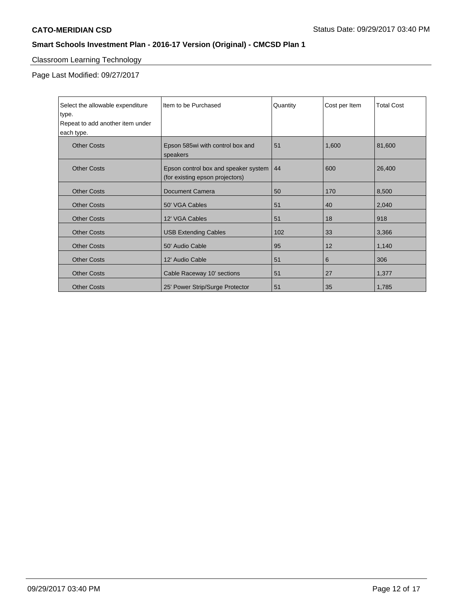# Classroom Learning Technology

| Select the allowable expenditure<br>type.<br>Repeat to add another item under | Item to be Purchased                                                    | Quantity | Cost per Item | <b>Total Cost</b> |
|-------------------------------------------------------------------------------|-------------------------------------------------------------------------|----------|---------------|-------------------|
| each type.                                                                    |                                                                         |          |               |                   |
| <b>Other Costs</b>                                                            | Epson 585wi with control box and<br>speakers                            | 51       | 1,600         | 81,600            |
| <b>Other Costs</b>                                                            | Epson control box and speaker system<br>(for existing epson projectors) | 44       | 600           | 26,400            |
| <b>Other Costs</b>                                                            | <b>Document Camera</b>                                                  | 50       | 170           | 8,500             |
| <b>Other Costs</b>                                                            | 50' VGA Cables                                                          | 51       | 40            | 2,040             |
| <b>Other Costs</b>                                                            | 12' VGA Cables                                                          | 51       | 18            | 918               |
| <b>Other Costs</b>                                                            | <b>USB Extending Cables</b>                                             | 102      | 33            | 3,366             |
| <b>Other Costs</b>                                                            | 50' Audio Cable                                                         | 95       | 12            | 1,140             |
| <b>Other Costs</b>                                                            | 12' Audio Cable                                                         | 51       | 6             | 306               |
| <b>Other Costs</b>                                                            | Cable Raceway 10' sections                                              | 51       | 27            | 1,377             |
| <b>Other Costs</b>                                                            | 25' Power Strip/Surge Protector                                         | 51       | 35            | 1,785             |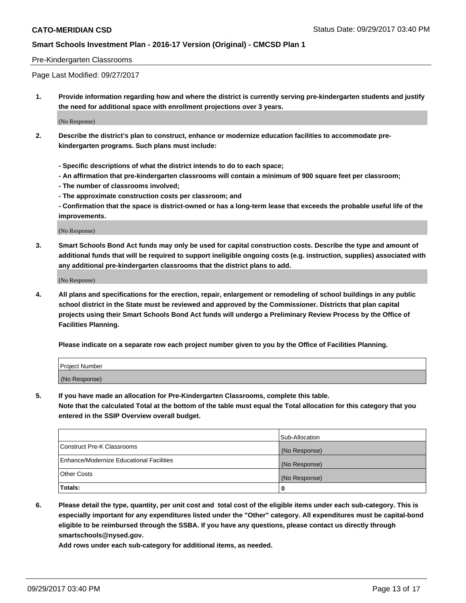#### Pre-Kindergarten Classrooms

Page Last Modified: 09/27/2017

**1. Provide information regarding how and where the district is currently serving pre-kindergarten students and justify the need for additional space with enrollment projections over 3 years.**

(No Response)

- **2. Describe the district's plan to construct, enhance or modernize education facilities to accommodate prekindergarten programs. Such plans must include:**
	- **Specific descriptions of what the district intends to do to each space;**
	- **An affirmation that pre-kindergarten classrooms will contain a minimum of 900 square feet per classroom;**
	- **The number of classrooms involved;**
	- **The approximate construction costs per classroom; and**

**- Confirmation that the space is district-owned or has a long-term lease that exceeds the probable useful life of the improvements.**

(No Response)

**3. Smart Schools Bond Act funds may only be used for capital construction costs. Describe the type and amount of additional funds that will be required to support ineligible ongoing costs (e.g. instruction, supplies) associated with any additional pre-kindergarten classrooms that the district plans to add.**

(No Response)

**4. All plans and specifications for the erection, repair, enlargement or remodeling of school buildings in any public school district in the State must be reviewed and approved by the Commissioner. Districts that plan capital projects using their Smart Schools Bond Act funds will undergo a Preliminary Review Process by the Office of Facilities Planning.**

**Please indicate on a separate row each project number given to you by the Office of Facilities Planning.**

| Project Number |  |
|----------------|--|
| (No Response)  |  |

**5. If you have made an allocation for Pre-Kindergarten Classrooms, complete this table.**

**Note that the calculated Total at the bottom of the table must equal the Total allocation for this category that you entered in the SSIP Overview overall budget.**

|                                          | Sub-Allocation |
|------------------------------------------|----------------|
| Construct Pre-K Classrooms               | (No Response)  |
| Enhance/Modernize Educational Facilities | (No Response)  |
| <b>Other Costs</b>                       | (No Response)  |
| <b>Totals:</b>                           | 0              |

**6. Please detail the type, quantity, per unit cost and total cost of the eligible items under each sub-category. This is especially important for any expenditures listed under the "Other" category. All expenditures must be capital-bond eligible to be reimbursed through the SSBA. If you have any questions, please contact us directly through smartschools@nysed.gov.**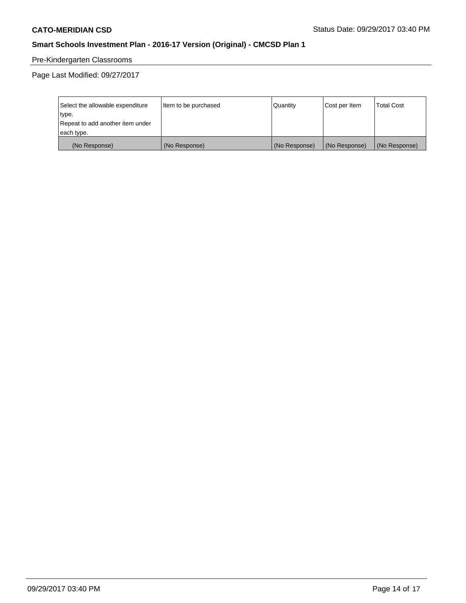# Pre-Kindergarten Classrooms

| Select the allowable expenditure | Item to be purchased | Quantity      | Cost per Item | <b>Total Cost</b> |
|----------------------------------|----------------------|---------------|---------------|-------------------|
| type.                            |                      |               |               |                   |
| Repeat to add another item under |                      |               |               |                   |
| each type.                       |                      |               |               |                   |
| (No Response)                    | (No Response)        | (No Response) | (No Response) | (No Response)     |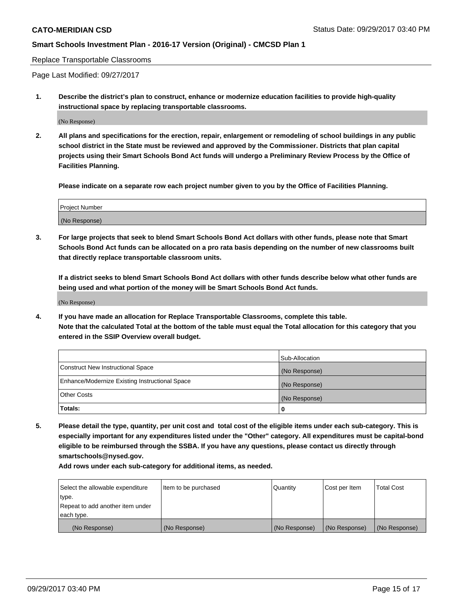Replace Transportable Classrooms

Page Last Modified: 09/27/2017

**1. Describe the district's plan to construct, enhance or modernize education facilities to provide high-quality instructional space by replacing transportable classrooms.**

(No Response)

**2. All plans and specifications for the erection, repair, enlargement or remodeling of school buildings in any public school district in the State must be reviewed and approved by the Commissioner. Districts that plan capital projects using their Smart Schools Bond Act funds will undergo a Preliminary Review Process by the Office of Facilities Planning.**

**Please indicate on a separate row each project number given to you by the Office of Facilities Planning.**

| <b>Project Number</b> |  |
|-----------------------|--|
| (No Response)         |  |

**3. For large projects that seek to blend Smart Schools Bond Act dollars with other funds, please note that Smart Schools Bond Act funds can be allocated on a pro rata basis depending on the number of new classrooms built that directly replace transportable classroom units.**

**If a district seeks to blend Smart Schools Bond Act dollars with other funds describe below what other funds are being used and what portion of the money will be Smart Schools Bond Act funds.**

(No Response)

**4. If you have made an allocation for Replace Transportable Classrooms, complete this table. Note that the calculated Total at the bottom of the table must equal the Total allocation for this category that you entered in the SSIP Overview overall budget.**

|                                                | Sub-Allocation |
|------------------------------------------------|----------------|
| Construct New Instructional Space              | (No Response)  |
| Enhance/Modernize Existing Instructional Space | (No Response)  |
| <b>Other Costs</b>                             | (No Response)  |
| Totals:                                        | 0              |

**5. Please detail the type, quantity, per unit cost and total cost of the eligible items under each sub-category. This is especially important for any expenditures listed under the "Other" category. All expenditures must be capital-bond eligible to be reimbursed through the SSBA. If you have any questions, please contact us directly through smartschools@nysed.gov.**

| Select the allowable expenditure<br>type.      | lltem to be purchased | Quantity      | Cost per Item | <b>Total Cost</b> |
|------------------------------------------------|-----------------------|---------------|---------------|-------------------|
| Repeat to add another item under<br>each type. |                       |               |               |                   |
| (No Response)                                  | (No Response)         | (No Response) | (No Response) | (No Response)     |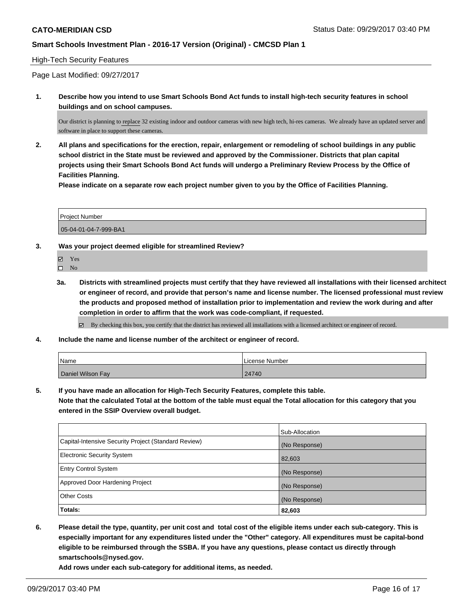### High-Tech Security Features

Page Last Modified: 09/27/2017

**1. Describe how you intend to use Smart Schools Bond Act funds to install high-tech security features in school buildings and on school campuses.**

Our district is planning to replace 32 existing indoor and outdoor cameras with new high tech, hi-res cameras. We already have an updated server and software in place to support these cameras.

**2. All plans and specifications for the erection, repair, enlargement or remodeling of school buildings in any public school district in the State must be reviewed and approved by the Commissioner. Districts that plan capital projects using their Smart Schools Bond Act funds will undergo a Preliminary Review Process by the Office of Facilities Planning.** 

**Please indicate on a separate row each project number given to you by the Office of Facilities Planning.**

| <b>Project Number</b> |  |
|-----------------------|--|
| 05-04-01-04-7-999-BA1 |  |

**3. Was your project deemed eligible for streamlined Review?**

Yes  $\square$  No

**3a. Districts with streamlined projects must certify that they have reviewed all installations with their licensed architect or engineer of record, and provide that person's name and license number. The licensed professional must review the products and proposed method of installation prior to implementation and review the work during and after completion in order to affirm that the work was code-compliant, if requested.**

By checking this box, you certify that the district has reviewed all installations with a licensed architect or engineer of record.

**4. Include the name and license number of the architect or engineer of record.**

| Name              | License Number |
|-------------------|----------------|
| Daniel Wilson Fay | 24740          |

**5. If you have made an allocation for High-Tech Security Features, complete this table.**

**Note that the calculated Total at the bottom of the table must equal the Total allocation for this category that you entered in the SSIP Overview overall budget.**

|                                                      | Sub-Allocation |
|------------------------------------------------------|----------------|
| Capital-Intensive Security Project (Standard Review) | (No Response)  |
| <b>Electronic Security System</b>                    | 82,603         |
| <b>Entry Control System</b>                          | (No Response)  |
| Approved Door Hardening Project                      | (No Response)  |
| <b>Other Costs</b>                                   | (No Response)  |
| Totals:                                              | 82,603         |

**6. Please detail the type, quantity, per unit cost and total cost of the eligible items under each sub-category. This is especially important for any expenditures listed under the "Other" category. All expenditures must be capital-bond eligible to be reimbursed through the SSBA. If you have any questions, please contact us directly through smartschools@nysed.gov.**